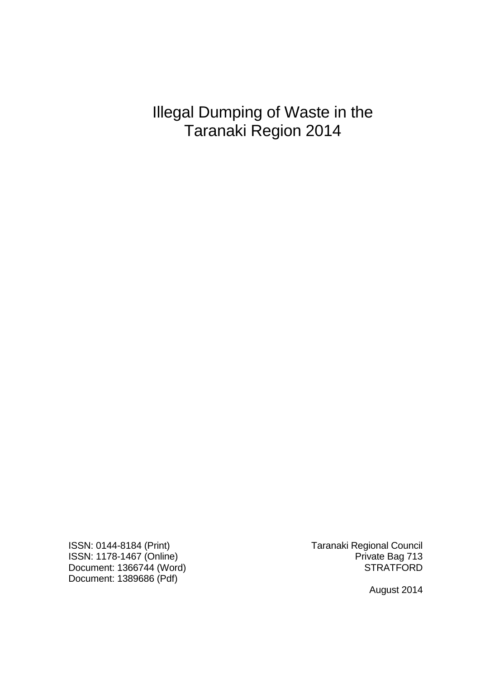Illegal Dumping of Waste in the Taranaki Region 2014

ISSN: 1178-1467 (Online) **Private Bag 713** Document: 1366744 (Word) STRATFORD Document: 1389686 (Pdf)

ISSN: 0144-8184 (Print) Taranaki Regional Council

August 2014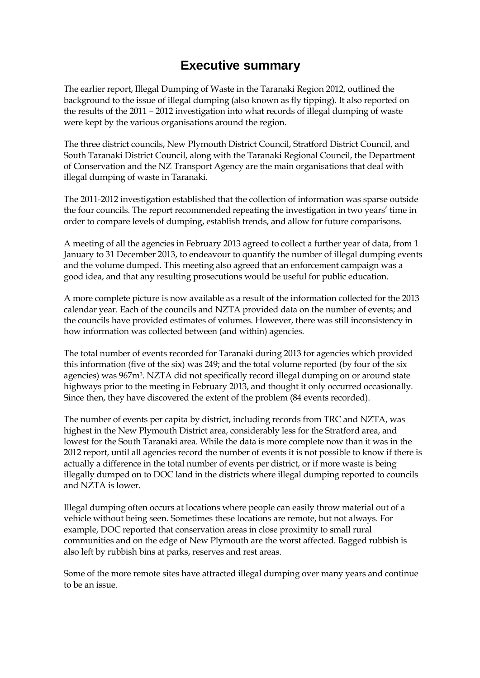# **Executive summary**

The earlier report, Illegal Dumping of Waste in the Taranaki Region 2012, outlined the background to the issue of illegal dumping (also known as fly tipping). It also reported on the results of the 2011 – 2012 investigation into what records of illegal dumping of waste were kept by the various organisations around the region.

The three district councils, New Plymouth District Council, Stratford District Council, and South Taranaki District Council, along with the Taranaki Regional Council, the Department of Conservation and the NZ Transport Agency are the main organisations that deal with illegal dumping of waste in Taranaki.

The 2011-2012 investigation established that the collection of information was sparse outside the four councils. The report recommended repeating the investigation in two years' time in order to compare levels of dumping, establish trends, and allow for future comparisons.

A meeting of all the agencies in February 2013 agreed to collect a further year of data, from 1 January to 31 December 2013, to endeavour to quantify the number of illegal dumping events and the volume dumped. This meeting also agreed that an enforcement campaign was a good idea, and that any resulting prosecutions would be useful for public education.

A more complete picture is now available as a result of the information collected for the 2013 calendar year. Each of the councils and NZTA provided data on the number of events; and the councils have provided estimates of volumes. However, there was still inconsistency in how information was collected between (and within) agencies.

The total number of events recorded for Taranaki during 2013 for agencies which provided this information (five of the six) was 249; and the total volume reported (by four of the six agencies) was 967m3. NZTA did not specifically record illegal dumping on or around state highways prior to the meeting in February 2013, and thought it only occurred occasionally. Since then, they have discovered the extent of the problem (84 events recorded).

The number of events per capita by district, including records from TRC and NZTA, was highest in the New Plymouth District area, considerably less for the Stratford area, and lowest for the South Taranaki area. While the data is more complete now than it was in the 2012 report, until all agencies record the number of events it is not possible to know if there is actually a difference in the total number of events per district, or if more waste is being illegally dumped on to DOC land in the districts where illegal dumping reported to councils and NZTA is lower.

Illegal dumping often occurs at locations where people can easily throw material out of a vehicle without being seen. Sometimes these locations are remote, but not always. For example, DOC reported that conservation areas in close proximity to small rural communities and on the edge of New Plymouth are the worst affected. Bagged rubbish is also left by rubbish bins at parks, reserves and rest areas.

Some of the more remote sites have attracted illegal dumping over many years and continue to be an issue.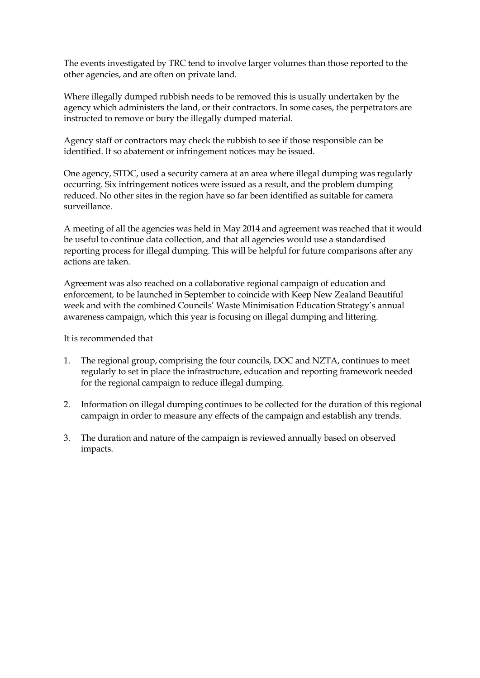The events investigated by TRC tend to involve larger volumes than those reported to the other agencies, and are often on private land.

Where illegally dumped rubbish needs to be removed this is usually undertaken by the agency which administers the land, or their contractors. In some cases, the perpetrators are instructed to remove or bury the illegally dumped material.

Agency staff or contractors may check the rubbish to see if those responsible can be identified. If so abatement or infringement notices may be issued.

One agency, STDC, used a security camera at an area where illegal dumping was regularly occurring. Six infringement notices were issued as a result, and the problem dumping reduced. No other sites in the region have so far been identified as suitable for camera surveillance.

A meeting of all the agencies was held in May 2014 and agreement was reached that it would be useful to continue data collection, and that all agencies would use a standardised reporting process for illegal dumping. This will be helpful for future comparisons after any actions are taken.

Agreement was also reached on a collaborative regional campaign of education and enforcement, to be launched in September to coincide with Keep New Zealand Beautiful week and with the combined Councils' Waste Minimisation Education Strategy's annual awareness campaign, which this year is focusing on illegal dumping and littering.

It is recommended that

- 1. The regional group, comprising the four councils, DOC and NZTA, continues to meet regularly to set in place the infrastructure, education and reporting framework needed for the regional campaign to reduce illegal dumping.
- 2. Information on illegal dumping continues to be collected for the duration of this regional campaign in order to measure any effects of the campaign and establish any trends.
- 3. The duration and nature of the campaign is reviewed annually based on observed impacts.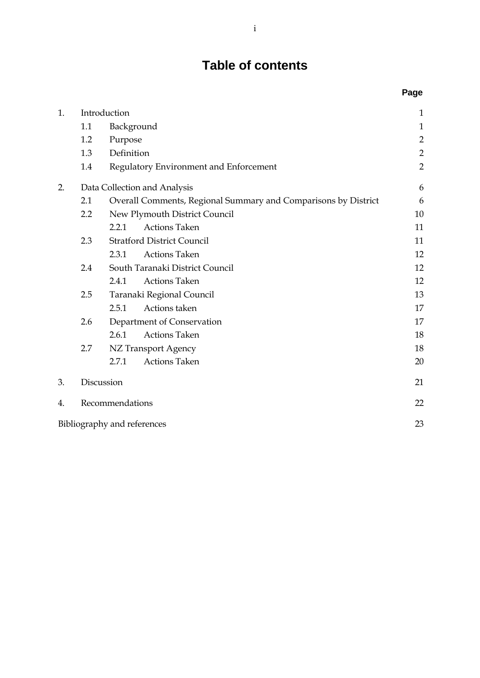# **Table of contents**

|    |                                                                       |                             |                                        | Page           |
|----|-----------------------------------------------------------------------|-----------------------------|----------------------------------------|----------------|
| 1. |                                                                       | Introduction                |                                        | 1              |
|    | 1.1                                                                   | Background                  |                                        | $\mathbf{1}$   |
|    | 1.2                                                                   | Purpose                     |                                        | $\overline{2}$ |
|    | 1.3                                                                   | Definition                  |                                        | $\overline{2}$ |
|    | 1.4                                                                   |                             | Regulatory Environment and Enforcement | $\overline{2}$ |
| 2. | Data Collection and Analysis                                          |                             |                                        | 6              |
|    | 2.1<br>Overall Comments, Regional Summary and Comparisons by District |                             |                                        | 6              |
|    | 2.2                                                                   |                             | New Plymouth District Council          | 10             |
|    |                                                                       | 2.2.1                       | <b>Actions Taken</b>                   | 11             |
|    | 2.3                                                                   |                             | <b>Stratford District Council</b>      | 11             |
|    |                                                                       | 2.3.1                       | <b>Actions Taken</b>                   | 12             |
|    | 2.4                                                                   |                             | South Taranaki District Council        | 12             |
|    |                                                                       | 2.4.1                       | <b>Actions Taken</b>                   | 12             |
|    | 2.5                                                                   |                             | Taranaki Regional Council              | 13             |
|    |                                                                       | 2.5.1                       | Actions taken                          | 17             |
|    | 2.6                                                                   |                             | Department of Conservation             | 17             |
|    |                                                                       | 2.6.1                       | <b>Actions Taken</b>                   | 18             |
|    | 2.7                                                                   |                             | NZ Transport Agency                    | 18             |
|    |                                                                       | 2.7.1                       | <b>Actions Taken</b>                   | 20             |
| 3. |                                                                       | Discussion                  |                                        | 21             |
| 4. |                                                                       | Recommendations             |                                        | 22             |
|    |                                                                       | Bibliography and references |                                        | 23             |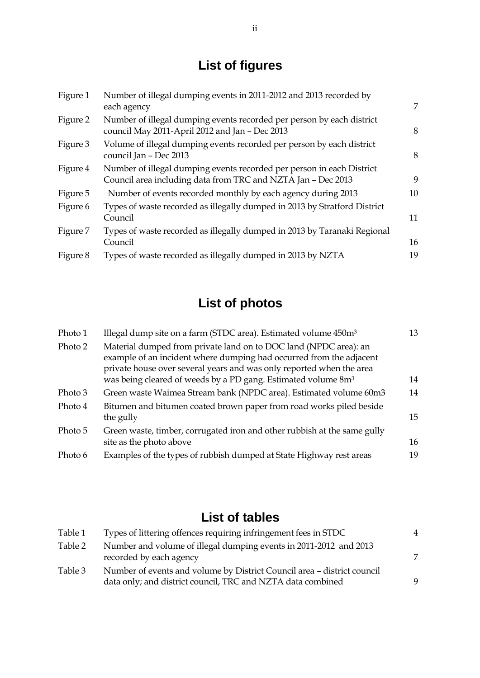# **List of figures**

| Figure 1 | Number of illegal dumping events in 2011-2012 and 2013 recorded by<br>each agency                                                     | 7  |
|----------|---------------------------------------------------------------------------------------------------------------------------------------|----|
| Figure 2 | Number of illegal dumping events recorded per person by each district<br>council May 2011-April 2012 and Jan - Dec 2013               | 8  |
| Figure 3 | Volume of illegal dumping events recorded per person by each district<br>council Jan - Dec 2013                                       | 8  |
| Figure 4 | Number of illegal dumping events recorded per person in each District<br>Council area including data from TRC and NZTA Jan - Dec 2013 | 9  |
| Figure 5 | Number of events recorded monthly by each agency during 2013                                                                          | 10 |
| Figure 6 | Types of waste recorded as illegally dumped in 2013 by Stratford District<br>Council                                                  | 11 |
| Figure 7 | Types of waste recorded as illegally dumped in 2013 by Taranaki Regional<br>Council                                                   | 16 |
| Figure 8 | Types of waste recorded as illegally dumped in 2013 by NZTA                                                                           | 19 |

# **List of photos**

| Photo 1 | Illegal dump site on a farm (STDC area). Estimated volume 450m <sup>3</sup>                                                                                                                                     | 13 |
|---------|-----------------------------------------------------------------------------------------------------------------------------------------------------------------------------------------------------------------|----|
| Photo 2 | Material dumped from private land on to DOC land (NPDC area): an<br>example of an incident where dumping had occurred from the adjacent<br>private house over several years and was only reported when the area |    |
|         | was being cleared of weeds by a PD gang. Estimated volume 8m <sup>3</sup>                                                                                                                                       | 14 |
| Photo 3 | Green waste Waimea Stream bank (NPDC area). Estimated volume 60m3                                                                                                                                               | 14 |
| Photo 4 | Bitumen and bitumen coated brown paper from road works piled beside<br>the gully                                                                                                                                | 15 |
| Photo 5 | Green waste, timber, corrugated iron and other rubbish at the same gully<br>site as the photo above                                                                                                             | 16 |
| Photo 6 | Examples of the types of rubbish dumped at State Highway rest areas                                                                                                                                             | 19 |

# **List of tables**

| Table 1 | Types of littering offences requiring infringement fees in STDC         |  |
|---------|-------------------------------------------------------------------------|--|
| Table 2 | Number and volume of illegal dumping events in 2011-2012 and 2013       |  |
|         | recorded by each agency                                                 |  |
| Table 3 | Number of events and volume by District Council area - district council |  |
|         | data only; and district council, TRC and NZTA data combined             |  |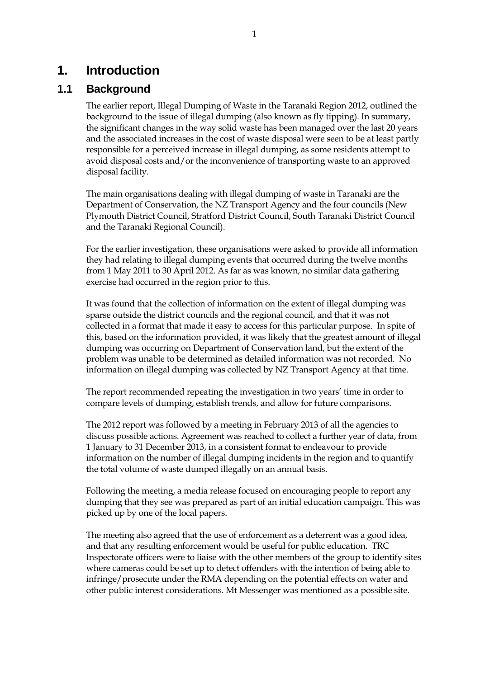# <span id="page-6-0"></span>**1. Introduction**

# <span id="page-6-1"></span>**1.1 Background**

The earlier report, Illegal Dumping of Waste in the Taranaki Region 2012, outlined the background to the issue of illegal dumping (also known as fly tipping). In summary, the significant changes in the way solid waste has been managed over the last 20 years and the associated increases in the cost of waste disposal were seen to be at least partly responsible for a perceived increase in illegal dumping, as some residents attempt to avoid disposal costs and/or the inconvenience of transporting waste to an approved disposal facility.

The main organisations dealing with illegal dumping of waste in Taranaki are the Department of Conservation, the NZ Transport Agency and the four councils (New Plymouth District Council, Stratford District Council, South Taranaki District Council and the Taranaki Regional Council).

For the earlier investigation, these organisations were asked to provide all information they had relating to illegal dumping events that occurred during the twelve months from 1 May 2011 to 30 April 2012. As far as was known, no similar data gathering exercise had occurred in the region prior to this.

It was found that the collection of information on the extent of illegal dumping was sparse outside the district councils and the regional council, and that it was not collected in a format that made it easy to access for this particular purpose. In spite of this, based on the information provided, it was likely that the greatest amount of illegal dumping was occurring on Department of Conservation land, but the extent of the problem was unable to be determined as detailed information was not recorded. No information on illegal dumping was collected by NZ Transport Agency at that time.

The report recommended repeating the investigation in two years' time in order to compare levels of dumping, establish trends, and allow for future comparisons.

The 2012 report was followed by a meeting in February 2013 of all the agencies to discuss possible actions. Agreement was reached to collect a further year of data, from 1 January to 31 December 2013, in a consistent format to endeavour to provide information on the number of illegal dumping incidents in the region and to quantify the total volume of waste dumped illegally on an annual basis.

Following the meeting, a media release focused on encouraging people to report any dumping that they see was prepared as part of an initial education campaign. This was picked up by one of the local papers.

The meeting also agreed that the use of enforcement as a deterrent was a good idea, and that any resulting enforcement would be useful for public education. TRC Inspectorate officers were to liaise with the other members of the group to identify sites where cameras could be set up to detect offenders with the intention of being able to infringe/prosecute under the RMA depending on the potential effects on water and other public interest considerations. Mt Messenger was mentioned as a possible site.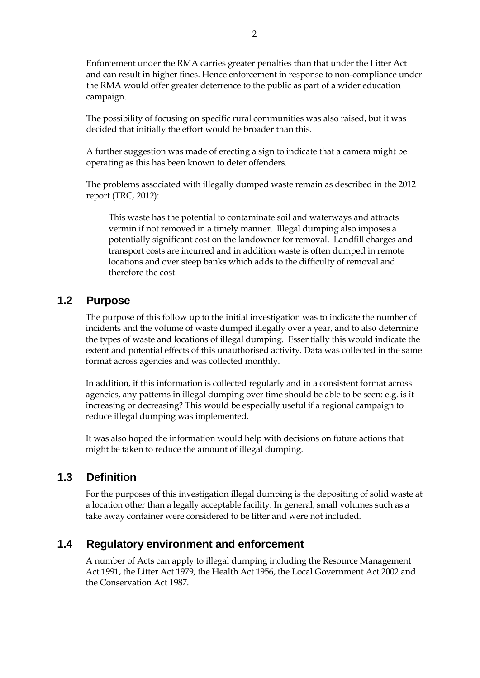Enforcement under the RMA carries greater penalties than that under the Litter Act and can result in higher fines. Hence enforcement in response to non-compliance under the RMA would offer greater deterrence to the public as part of a wider education campaign.

The possibility of focusing on specific rural communities was also raised, but it was decided that initially the effort would be broader than this.

A further suggestion was made of erecting a sign to indicate that a camera might be operating as this has been known to deter offenders.

The problems associated with illegally dumped waste remain as described in the 2012 report (TRC, 2012):

This waste has the potential to contaminate soil and waterways and attracts vermin if not removed in a timely manner. Illegal dumping also imposes a potentially significant cost on the landowner for removal. Landfill charges and transport costs are incurred and in addition waste is often dumped in remote locations and over steep banks which adds to the difficulty of removal and therefore the cost.

### <span id="page-7-0"></span>**1.2 Purpose**

The purpose of this follow up to the initial investigation was to indicate the number of incidents and the volume of waste dumped illegally over a year, and to also determine the types of waste and locations of illegal dumping. Essentially this would indicate the extent and potential effects of this unauthorised activity. Data was collected in the same format across agencies and was collected monthly.

In addition, if this information is collected regularly and in a consistent format across agencies, any patterns in illegal dumping over time should be able to be seen: e.g. is it increasing or decreasing? This would be especially useful if a regional campaign to reduce illegal dumping was implemented.

It was also hoped the information would help with decisions on future actions that might be taken to reduce the amount of illegal dumping.

### <span id="page-7-1"></span>**1.3 Definition**

For the purposes of this investigation illegal dumping is the depositing of solid waste at a location other than a legally acceptable facility. In general, small volumes such as a take away container were considered to be litter and were not included.

### <span id="page-7-2"></span>**1.4 Regulatory environment and enforcement**

A number of Acts can apply to illegal dumping including the Resource Management Act 1991, the Litter Act 1979, the Health Act 1956, the Local Government Act 2002 and the Conservation Act 1987.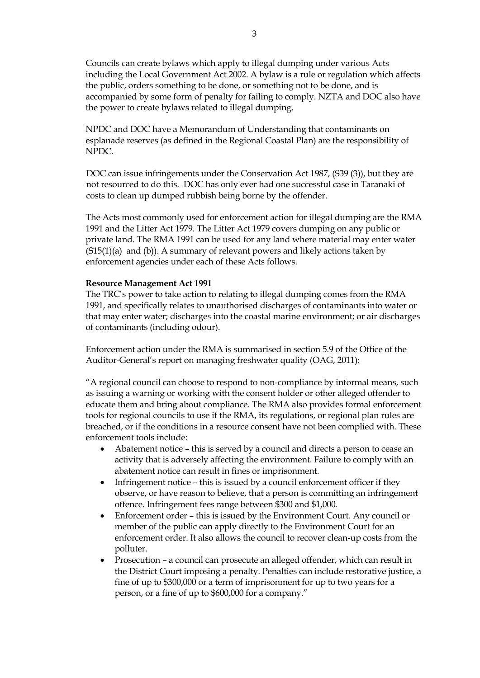Councils can create bylaws which apply to illegal dumping under various Acts including the Local Government Act 2002. A bylaw is a rule or regulation which affects the public, orders something to be done, or something not to be done, and is accompanied by some form of penalty for failing to comply. NZTA and DOC also have the power to create bylaws related to illegal dumping.

NPDC and DOC have a Memorandum of Understanding that contaminants on esplanade reserves (as defined in the Regional Coastal Plan) are the responsibility of NPDC.

DOC can issue infringements under the Conservation Act 1987, (S39 (3)), but they are not resourced to do this. DOC has only ever had one successful case in Taranaki of costs to clean up dumped rubbish being borne by the offender.

The Acts most commonly used for enforcement action for illegal dumping are the RMA 1991 and the Litter Act 1979. The Litter Act 1979 covers dumping on any public or private land. The RMA 1991 can be used for any land where material may enter water (S15(1)(a) and (b)). A summary of relevant powers and likely actions taken by enforcement agencies under each of these Acts follows.

#### **Resource Management Act 1991**

The TRC's power to take action to relating to illegal dumping comes from the RMA 1991, and specifically relates to unauthorised discharges of contaminants into water or that may enter water; discharges into the coastal marine environment; or air discharges of contaminants (including odour).

Enforcement action under the RMA is summarised in section 5.9 of the Office of the Auditor-General's report on managing freshwater quality (OAG, 2011):

"A regional council can choose to respond to non-compliance by informal means, such as issuing a warning or working with the consent holder or other alleged offender to educate them and bring about compliance. The RMA also provides formal enforcement tools for regional councils to use if the RMA, its regulations, or regional plan rules are breached, or if the conditions in a resource consent have not been complied with. These enforcement tools include:

- Abatement notice this is served by a council and directs a person to cease an activity that is adversely affecting the environment. Failure to comply with an abatement notice can result in fines or imprisonment.
- Infringement notice this is issued by a council enforcement officer if they observe, or have reason to believe, that a person is committing an infringement offence. Infringement fees range between \$300 and \$1,000.
- Enforcement order this is issued by the Environment Court. Any council or member of the public can apply directly to the Environment Court for an enforcement order. It also allows the council to recover clean-up costs from the polluter.
- Prosecution a council can prosecute an alleged offender, which can result in the District Court imposing a penalty. Penalties can include restorative justice, a fine of up to \$300,000 or a term of imprisonment for up to two years for a person, or a fine of up to \$600,000 for a company."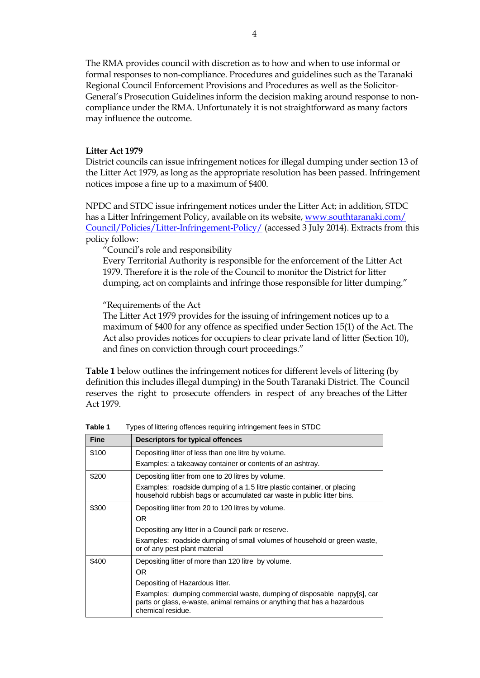The RMA provides council with discretion as to how and when to use informal or formal responses to non-compliance. Procedures and guidelines such as the Taranaki Regional Council Enforcement Provisions and Procedures as well as the Solicitor-General's Prosecution Guidelines inform the decision making around response to noncompliance under the RMA. Unfortunately it is not straightforward as many factors may influence the outcome.

#### **Litter Act 1979**

District councils can issue infringement notices for illegal dumping under section 13 of the Litter Act 1979, as long as the appropriate resolution has been passed. Infringement notices impose a fine up to a maximum of \$400.

NPDC and STDC issue infringement notices under the Litter Act; in addition, STDC has a Litter Infringement Policy, available on its website, [www.southtaranaki.com/](http://www.southtaranaki.com/%20Council/Policies/Litter-Infringement-Policy/)  [Council/Policies/Litter-Infringement-Policy/](http://www.southtaranaki.com/%20Council/Policies/Litter-Infringement-Policy/) (accessed 3 July 2014). Extracts from this policy follow:

"Council's role and responsibility

Every Territorial Authority is responsible for the enforcement of the Litter Act 1979. Therefore it is the role of the Council to monitor the District for litter dumping, act on complaints and infringe those responsible for litter dumping."

"Requirements of the Act

The Litter Act 1979 provides for the issuing of infringement notices up to a maximum of \$400 for any offence as specified under Section 15(1) of the Act. The Act also provides notices for occupiers to clear private land of litter (Section 10), and fines on conviction through court proceedings."

**[Table 1](#page-9-0)** below outlines the infringement notices for different levels of littering (by definition this includes illegal dumping) in the South Taranaki District. The Council reserves the right to prosecute offenders in respect of any breaches of the Litter Act 1979.

| <b>Fine</b> | Descriptors for typical offences                                                                                                                                         |  |  |
|-------------|--------------------------------------------------------------------------------------------------------------------------------------------------------------------------|--|--|
| \$100       | Depositing litter of less than one litre by volume.                                                                                                                      |  |  |
|             | Examples: a takeaway container or contents of an ashtray.                                                                                                                |  |  |
| \$200       | Depositing litter from one to 20 litres by volume.                                                                                                                       |  |  |
|             | Examples: roadside dumping of a 1.5 litre plastic container, or placing<br>household rubbish bags or accumulated car waste in public litter bins.                        |  |  |
| \$300       | Depositing litter from 20 to 120 litres by volume.                                                                                                                       |  |  |
|             | OR.                                                                                                                                                                      |  |  |
|             | Depositing any litter in a Council park or reserve.                                                                                                                      |  |  |
|             | Examples: roadside dumping of small volumes of household or green waste,<br>or of any pest plant material                                                                |  |  |
| \$400       | Depositing litter of more than 120 litre by volume.                                                                                                                      |  |  |
|             | OR.                                                                                                                                                                      |  |  |
|             | Depositing of Hazardous litter.                                                                                                                                          |  |  |
|             | Examples: dumping commercial waste, dumping of disposable nappy[s], car<br>parts or glass, e-waste, animal remains or anything that has a hazardous<br>chemical residue. |  |  |

<span id="page-9-0"></span>**Table 1** Types of littering offences requiring infringement fees in STDC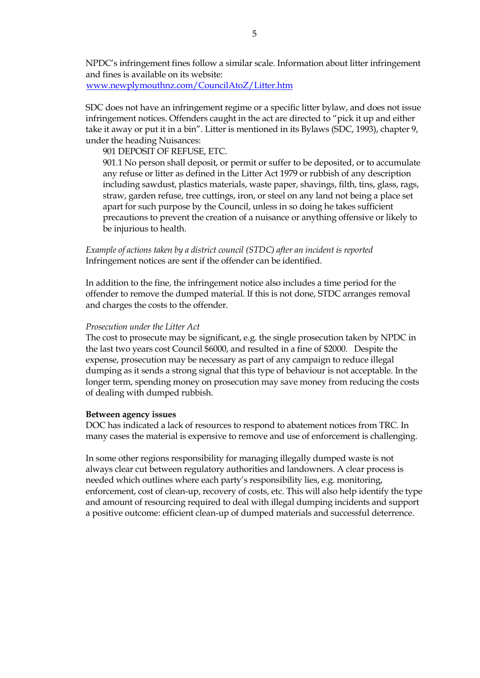NPDC's infringement fines follow a similar scale. Information about litter infringement and fines is available on its website: [www.newplymouthnz.com/CouncilAtoZ/Litter.htm](http://www.newplymouthnz.com/CouncilAtoZ/Litter.htm)

SDC does not have an infringement regime or a specific litter bylaw, and does not issue infringement notices. Offenders caught in the act are directed to "pick it up and either take it away or put it in a bin". Litter is mentioned in its Bylaws (SDC, 1993), chapter 9, under the heading Nuisances:

901 DEPOSIT OF REFUSE, ETC.

901.1 No person shall deposit, or permit or suffer to be deposited, or to accumulate any refuse or litter as defined in the Litter Act 1979 or rubbish of any description including sawdust, plastics materials, waste paper, shavings, filth, tins, glass, rags, straw, garden refuse, tree cuttings, iron, or steel on any land not being a place set apart for such purpose by the Council, unless in so doing he takes sufficient precautions to prevent the creation of a nuisance or anything offensive or likely to be injurious to health.

*Example of actions taken by a district council (STDC) after an incident is reported*  Infringement notices are sent if the offender can be identified.

In addition to the fine, the infringement notice also includes a time period for the offender to remove the dumped material. If this is not done, STDC arranges removal and charges the costs to the offender.

#### *Prosecution under the Litter Act*

The cost to prosecute may be significant, e.g. the single prosecution taken by NPDC in the last two years cost Council \$6000, and resulted in a fine of \$2000. Despite the expense, prosecution may be necessary as part of any campaign to reduce illegal dumping as it sends a strong signal that this type of behaviour is not acceptable. In the longer term, spending money on prosecution may save money from reducing the costs of dealing with dumped rubbish.

#### **Between agency issues**

DOC has indicated a lack of resources to respond to abatement notices from TRC. In many cases the material is expensive to remove and use of enforcement is challenging.

In some other regions responsibility for managing illegally dumped waste is not always clear cut between regulatory authorities and landowners. A clear process is needed which outlines where each party's responsibility lies, e.g. monitoring, enforcement, cost of clean-up, recovery of costs, etc. This will also help identify the type and amount of resourcing required to deal with illegal dumping incidents and support a positive outcome: efficient clean-up of dumped materials and successful deterrence.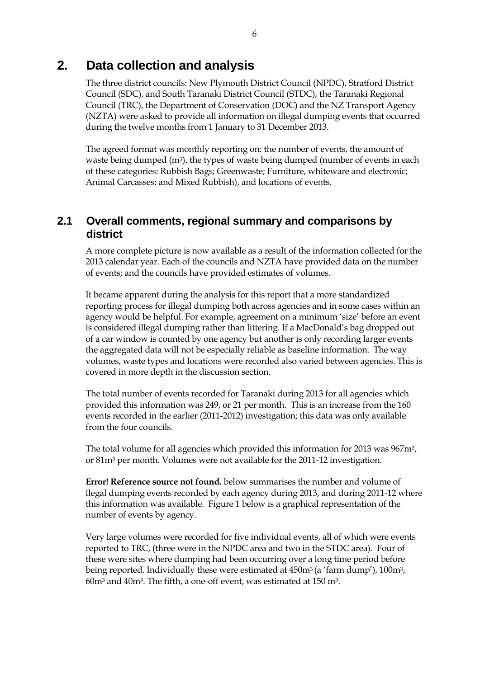# <span id="page-11-0"></span>**2. Data collection and analysis**

The three district councils: New Plymouth District Council (NPDC), Stratford District Council (SDC), and South Taranaki District Council (STDC), the Taranaki Regional Council (TRC), the Department of Conservation (DOC) and the NZ Transport Agency (NZTA) were asked to provide all information on illegal dumping events that occurred during the twelve months from 1 January to 31 December 2013.

The agreed format was monthly reporting on: the number of events, the amount of waste being dumped  $(m<sup>3</sup>)$ , the types of waste being dumped (number of events in each of these categories: Rubbish Bags; Greenwaste; Furniture, whiteware and electronic; Animal Carcasses; and Mixed Rubbish), and locations of events.

### <span id="page-11-1"></span>**2.1 Overall comments, regional summary and comparisons by district**

A more complete picture is now available as a result of the information collected for the 2013 calendar year. Each of the councils and NZTA have provided data on the number of events; and the councils have provided estimates of volumes.

It became apparent during the analysis for this report that a more standardized reporting process for illegal dumping both across agencies and in some cases within an agency would be helpful. For example, agreement on a minimum 'size' before an event is considered illegal dumping rather than littering. If a MacDonald's bag dropped out of a car window is counted by one agency but another is only recording larger events the aggregated data will not be especially reliable as baseline information. The way volumes, waste types and locations were recorded also varied between agencies. This is covered in more depth in the discussion section.

The total number of events recorded for Taranaki during 2013 for all agencies which provided this information was 249, or 21 per month. This is an increase from the 160 events recorded in the earlier (2011-2012) investigation; this data was only available from the four councils.

The total volume for all agencies which provided this information for 2013 was 967m<sup>3</sup>, or 81m<sup>3</sup> per month. Volumes were not available for the 2011-12 investigation.

**Error! Reference source not found.** below summarises the number and volume of llegal dumping events recorded by each agency during 2013, and during 2011-12 where this information was available. [Figure 1](#page-12-1) below is a graphical representation of the number of events by agency.

Very large volumes were recorded for five individual events, all of which were events reported to TRC, (three were in the NPDC area and two in the STDC area). Four of these were sites where dumping had been occurring over a long time period before being reported. Individually these were estimated at 450m<sup>3</sup> (a 'farm dump'), 100m<sup>3</sup>,  $60m<sup>3</sup>$  and  $40m<sup>3</sup>$ . The fifth, a one-off event, was estimated at 150 m<sup>3</sup>.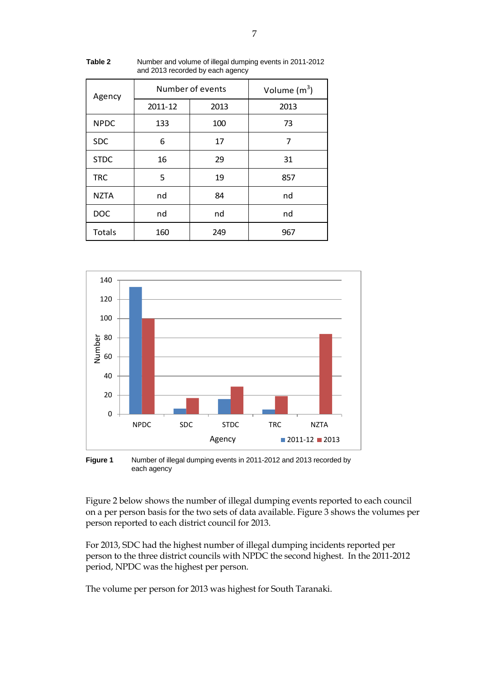| Agency      |         | Number of events | Volume $(m^3)$ |  |
|-------------|---------|------------------|----------------|--|
|             | 2011-12 | 2013             | 2013           |  |
| <b>NPDC</b> | 133     | 100              | 73             |  |
| <b>SDC</b>  | 6       | 17               | 7              |  |
| <b>STDC</b> | 16      | 29               | 31             |  |
| <b>TRC</b>  | 5       | 19               | 857            |  |
| <b>NZTA</b> | nd      | 84               | nd             |  |
| <b>DOC</b>  | nd      | nd               | nd             |  |
| Totals      | 160     | 249              | 967            |  |

<span id="page-12-0"></span>**Table 2** Number and volume of illegal dumping events in 2011-2012 and 2013 recorded by each agency



<span id="page-12-1"></span>**Figure 1** Number of illegal dumping events in 2011-2012 and 2013 recorded by each agency

[Figure 2](#page-13-0) below shows the number of illegal dumping events reported to each council on a per person basis for the two sets of data available[. Figure 3](#page-13-1) shows the volumes per person reported to each district council for 2013.

For 2013, SDC had the highest number of illegal dumping incidents reported per person to the three district councils with NPDC the second highest. In the 2011-2012 period, NPDC was the highest per person.

The volume per person for 2013 was highest for South Taranaki.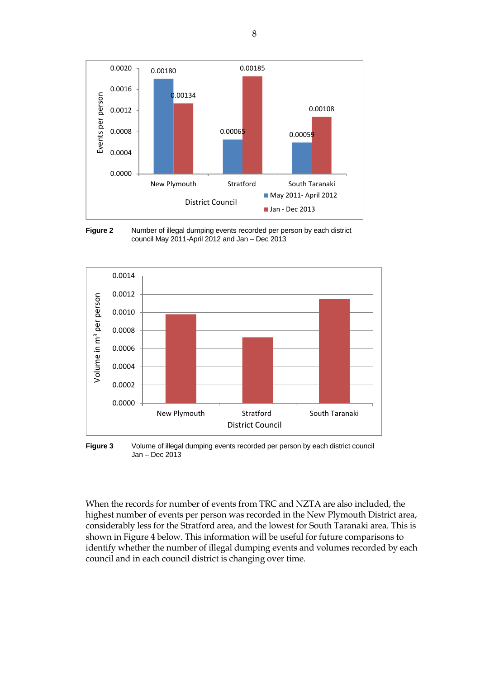

<span id="page-13-0"></span>



<span id="page-13-1"></span>**Figure 3** Volume of illegal dumping events recorded per person by each district council Jan – Dec 2013

When the records for number of events from TRC and NZTA are also included, the highest number of events per person was recorded in the New Plymouth District area, considerably less for the Stratford area, and the lowest for South Taranaki area. This is shown in [Figure 4](#page-14-0) below. This information will be useful for future comparisons to identify whether the number of illegal dumping events and volumes recorded by each council and in each council district is changing over time.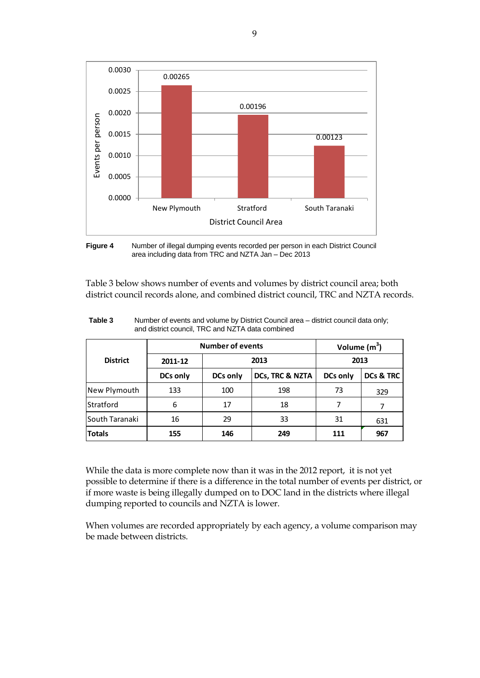

<span id="page-14-0"></span>**Figure 4** Number of illegal dumping events recorded per person in each District Council area including data from TRC and NZTA Jan – Dec 2013

[Table 3](#page-14-1) below shows number of events and volumes by district council area; both district council records alone, and combined district council, TRC and NZTA records.

|                 | <b>Number of events</b> |                 |                 | Volume $(m^3)$  |           |
|-----------------|-------------------------|-----------------|-----------------|-----------------|-----------|
| <b>District</b> | 2011-12                 | 2013            |                 | 2013            |           |
|                 | <b>DCs only</b>         | <b>DCs only</b> | DCs, TRC & NZTA | <b>DCs only</b> | DCs & TRC |
| New Plymouth    | 133                     | 100             | 198             | 73              | 329       |
| Stratford       | 6                       | 17              | 18              | 7               |           |
| South Taranaki  | 16                      | 29              | 33              | 31              | 631       |
| <b>Totals</b>   | 155                     | 146             | 249             |                 | 967       |

<span id="page-14-1"></span>**Table 3** Number of events and volume by District Council area – district council data only; and district council, TRC and NZTA data combined

While the data is more complete now than it was in the 2012 report, it is not yet possible to determine if there is a difference in the total number of events per district, or if more waste is being illegally dumped on to DOC land in the districts where illegal dumping reported to councils and NZTA is lower.

When volumes are recorded appropriately by each agency, a volume comparison may be made between districts.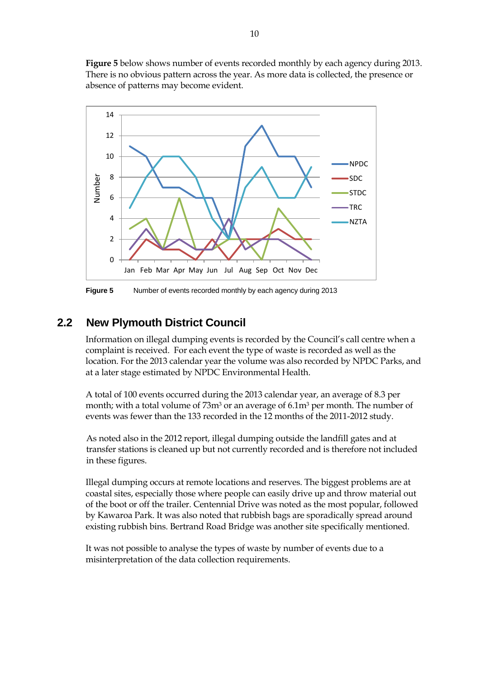**[Figure 5](#page-15-1)** below shows number of events recorded monthly by each agency during 2013. There is no obvious pattern across the year. As more data is collected, the presence or absence of patterns may become evident.



<span id="page-15-1"></span>**Figure 5** Number of events recorded monthly by each agency during 2013

# <span id="page-15-0"></span>**2.2 New Plymouth District Council**

Information on illegal dumping events is recorded by the Council's call centre when a complaint is received. For each event the type of waste is recorded as well as the location. For the 2013 calendar year the volume was also recorded by NPDC Parks, and at a later stage estimated by NPDC Environmental Health.

A total of 100 events occurred during the 2013 calendar year, an average of 8.3 per month; with a total volume of 73m<sup>3</sup> or an average of 6.1m<sup>3</sup> per month. The number of events was fewer than the 133 recorded in the 12 months of the 2011-2012 study.

As noted also in the 2012 report, illegal dumping outside the landfill gates and at transfer stations is cleaned up but not currently recorded and is therefore not included in these figures.

Illegal dumping occurs at remote locations and reserves. The biggest problems are at coastal sites, especially those where people can easily drive up and throw material out of the boot or off the trailer. Centennial Drive was noted as the most popular, followed by Kawaroa Park. It was also noted that rubbish bags are sporadically spread around existing rubbish bins. Bertrand Road Bridge was another site specifically mentioned.

It was not possible to analyse the types of waste by number of events due to a misinterpretation of the data collection requirements.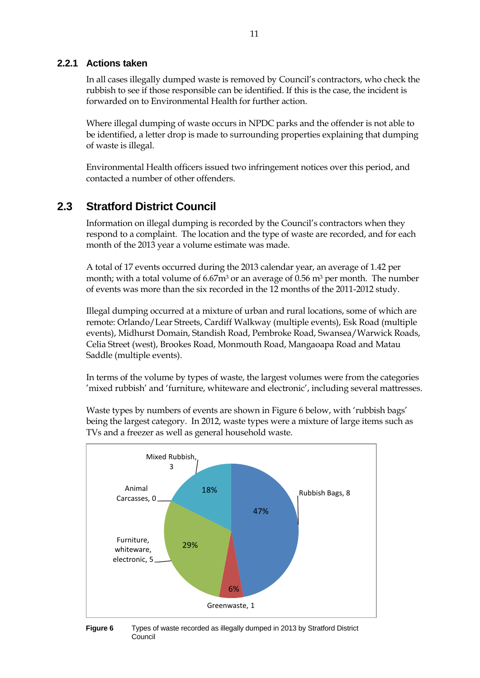#### <span id="page-16-0"></span>**2.2.1 Actions taken**

In all cases illegally dumped waste is removed by Council's contractors, who check the rubbish to see if those responsible can be identified. If this is the case, the incident is forwarded on to Environmental Health for further action.

Where illegal dumping of waste occurs in NPDC parks and the offender is not able to be identified, a letter drop is made to surrounding properties explaining that dumping of waste is illegal.

Environmental Health officers issued two infringement notices over this period, and contacted a number of other offenders.

### <span id="page-16-1"></span>**2.3 Stratford District Council**

Information on illegal dumping is recorded by the Council's contractors when they respond to a complaint. The location and the type of waste are recorded, and for each month of the 2013 year a volume estimate was made.

A total of 17 events occurred during the 2013 calendar year, an average of 1.42 per month; with a total volume of 6.67m<sup>3</sup> or an average of 0.56 m<sup>3</sup> per month. The number of events was more than the six recorded in the 12 months of the 2011-2012 study.

Illegal dumping occurred at a mixture of urban and rural locations, some of which are remote: Orlando/Lear Streets, Cardiff Walkway (multiple events), Esk Road (multiple events), Midhurst Domain, Standish Road, Pembroke Road, Swansea/Warwick Roads, Celia Street (west), Brookes Road, Monmouth Road, Mangaoapa Road and Matau Saddle (multiple events).

In terms of the volume by types of waste, the largest volumes were from the categories 'mixed rubbish' and 'furniture, whiteware and electronic', including several mattresses.

Waste types by numbers of events are shown in [Figure 6](#page-16-2) below, with 'rubbish bags' being the largest category. In 2012, waste types were a mixture of large items such as TVs and a freezer as well as general household waste.



<span id="page-16-2"></span>**Figure 6** Types of waste recorded as illegally dumped in 2013 by Stratford District Council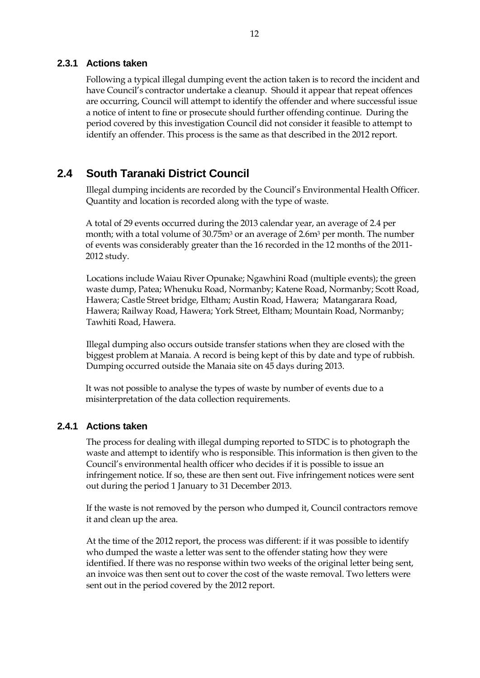#### <span id="page-17-0"></span>**2.3.1 Actions taken**

Following a typical illegal dumping event the action taken is to record the incident and have Council's contractor undertake a cleanup. Should it appear that repeat offences are occurring, Council will attempt to identify the offender and where successful issue a notice of intent to fine or prosecute should further offending continue. During the period covered by this investigation Council did not consider it feasible to attempt to identify an offender. This process is the same as that described in the 2012 report.

### <span id="page-17-1"></span>**2.4 South Taranaki District Council**

Illegal dumping incidents are recorded by the Council's Environmental Health Officer. Quantity and location is recorded along with the type of waste.

A total of 29 events occurred during the 2013 calendar year, an average of 2.4 per month; with a total volume of 30.75m<sup>3</sup> or an average of 2.6m<sup>3</sup> per month. The number of events was considerably greater than the 16 recorded in the 12 months of the 2011- 2012 study.

Locations include Waiau River Opunake; Ngawhini Road (multiple events); the green waste dump, Patea; Whenuku Road, Normanby; Katene Road, Normanby; Scott Road, Hawera; Castle Street bridge, Eltham; Austin Road, Hawera; Matangarara Road, Hawera; Railway Road, Hawera; York Street, Eltham; Mountain Road, Normanby; Tawhiti Road, Hawera.

Illegal dumping also occurs outside transfer stations when they are closed with the biggest problem at Manaia. A record is being kept of this by date and type of rubbish. Dumping occurred outside the Manaia site on 45 days during 2013.

It was not possible to analyse the types of waste by number of events due to a misinterpretation of the data collection requirements.

#### <span id="page-17-2"></span>**2.4.1 Actions taken**

The process for dealing with illegal dumping reported to STDC is to photograph the waste and attempt to identify who is responsible. This information is then given to the Council's environmental health officer who decides if it is possible to issue an infringement notice. If so, these are then sent out. Five infringement notices were sent out during the period 1 January to 31 December 2013.

If the waste is not removed by the person who dumped it, Council contractors remove it and clean up the area.

At the time of the 2012 report, the process was different: if it was possible to identify who dumped the waste a letter was sent to the offender stating how they were identified. If there was no response within two weeks of the original letter being sent, an invoice was then sent out to cover the cost of the waste removal. Two letters were sent out in the period covered by the 2012 report.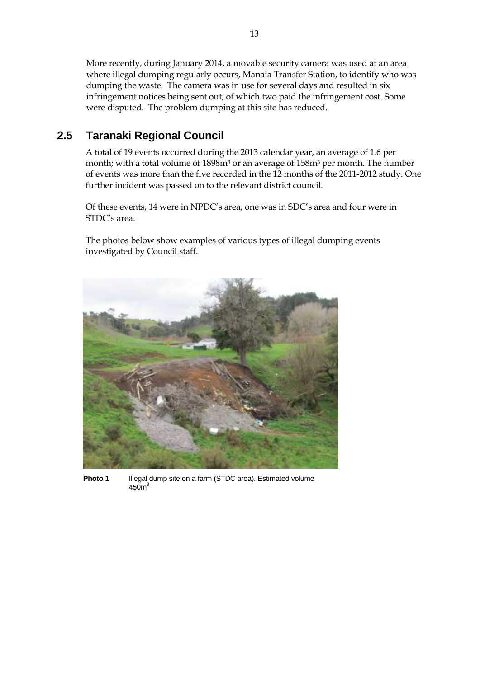More recently, during January 2014, a movable security camera was used at an area where illegal dumping regularly occurs, Manaia Transfer Station, to identify who was dumping the waste. The camera was in use for several days and resulted in six infringement notices being sent out; of which two paid the infringement cost. Some were disputed. The problem dumping at this site has reduced.

## <span id="page-18-0"></span>**2.5 Taranaki Regional Council**

A total of 19 events occurred during the 2013 calendar year, an average of 1.6 per month; with a total volume of 1898m<sup>3</sup> or an average of 158m<sup>3</sup> per month. The number of events was more than the five recorded in the 12 months of the 2011-2012 study. One further incident was passed on to the relevant district council.

Of these events, 14 were in NPDC's area, one was in SDC's area and four were in STDC's area.

The photos below show examples of various types of illegal dumping events investigated by Council staff.



**Photo 1** Illegal dump site on a farm (STDC area). Estimated volume  $450<sup>3</sup>$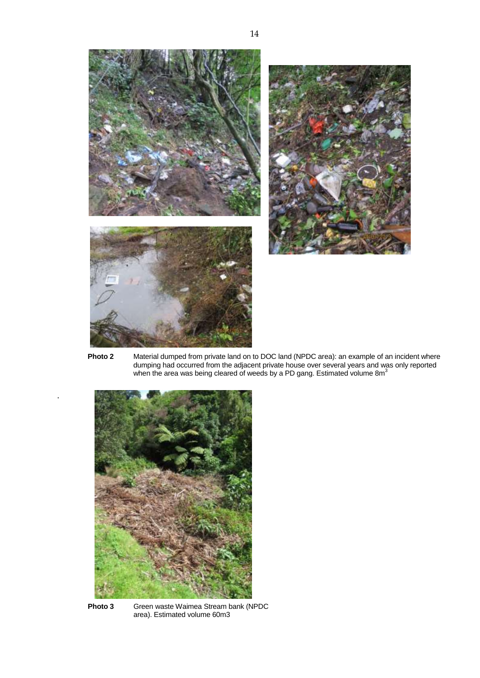





**Photo 2** Material dumped from private land on to DOC land (NPDC area): an example of an incident where dumping had occurred from the adjacent private house over several years and was only reported when the area was being cleared of weeds by a PD gang. Estimated volume  $8m<sup>3</sup>$ 



.

**Photo 3** Green waste Waimea Stream bank (NPDC area). Estimated volume 60m3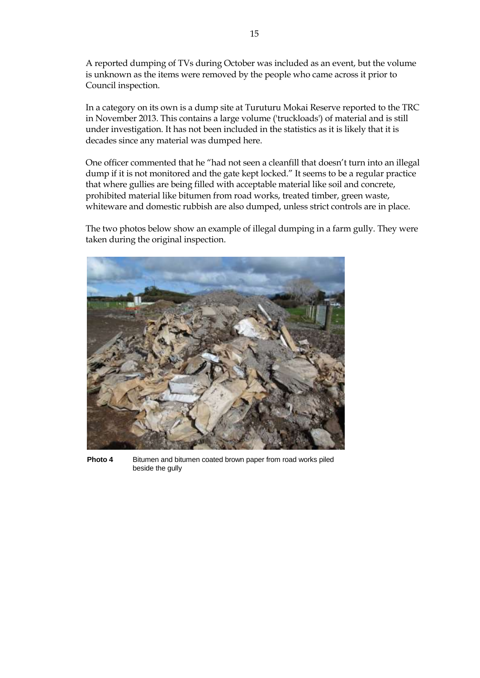A reported dumping of TVs during October was included as an event, but the volume is unknown as the items were removed by the people who came across it prior to Council inspection.

In a category on its own is a dump site at Turuturu Mokai Reserve reported to the TRC in November 2013. This contains a large volume ('truckloads') of material and is still under investigation. It has not been included in the statistics as it is likely that it is decades since any material was dumped here.

One officer commented that he "had not seen a cleanfill that doesn't turn into an illegal dump if it is not monitored and the gate kept locked." It seems to be a regular practice that where gullies are being filled with acceptable material like soil and concrete, prohibited material like bitumen from road works, treated timber, green waste, whiteware and domestic rubbish are also dumped, unless strict controls are in place.

The two photos below show an example of illegal dumping in a farm gully. They were taken during the original inspection.



**Photo 4** Bitumen and bitumen coated brown paper from road works piled beside the gully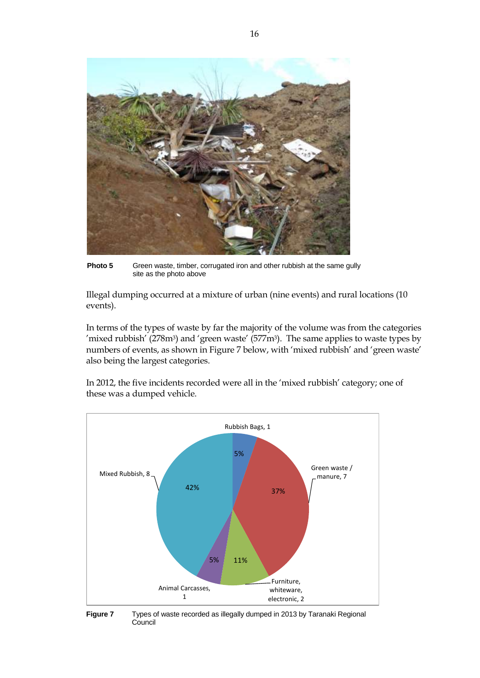

**Photo 5** Green waste, timber, corrugated iron and other rubbish at the same gully site as the photo above

Illegal dumping occurred at a mixture of urban (nine events) and rural locations (10 events).

In terms of the types of waste by far the majority of the volume was from the categories 'mixed rubbish' ( $278m<sup>3</sup>$ ) and 'green waste' ( $577m<sup>3</sup>$ ). The same applies to waste types by numbers of events, as shown i[n Figure 7](#page-21-0) below, with 'mixed rubbish' and 'green waste' also being the largest categories.

In 2012, the five incidents recorded were all in the 'mixed rubbish' category; one of these was a dumped vehicle.



<span id="page-21-0"></span>**Figure 7** Types of waste recorded as illegally dumped in 2013 by Taranaki Regional Council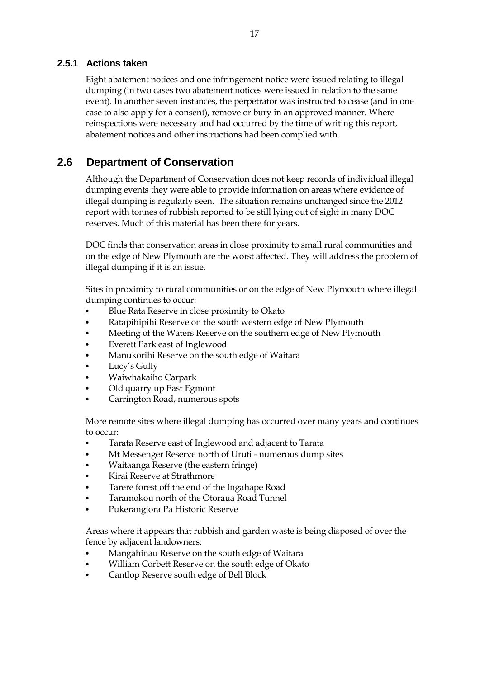### <span id="page-22-0"></span>**2.5.1 Actions taken**

Eight abatement notices and one infringement notice were issued relating to illegal dumping (in two cases two abatement notices were issued in relation to the same event). In another seven instances, the perpetrator was instructed to cease (and in one case to also apply for a consent), remove or bury in an approved manner. Where reinspections were necessary and had occurred by the time of writing this report, abatement notices and other instructions had been complied with.

## <span id="page-22-1"></span>**2.6 Department of Conservation**

Although the Department of Conservation does not keep records of individual illegal dumping events they were able to provide information on areas where evidence of illegal dumping is regularly seen. The situation remains unchanged since the 2012 report with tonnes of rubbish reported to be still lying out of sight in many DOC reserves. Much of this material has been there for years.

DOC finds that conservation areas in close proximity to small rural communities and on the edge of New Plymouth are the worst affected. They will address the problem of illegal dumping if it is an issue.

Sites in proximity to rural communities or on the edge of New Plymouth where illegal dumping continues to occur:

- Blue Rata Reserve in close proximity to Okato
- Ratapihipihi Reserve on the south western edge of New Plymouth
- Meeting of the Waters Reserve on the southern edge of New Plymouth
- Everett Park east of Inglewood
- Manukorihi Reserve on the south edge of Waitara
- Lucy's Gully
- Waiwhakaiho Carpark
- Old quarry up East Egmont
- Carrington Road, numerous spots

More remote sites where illegal dumping has occurred over many years and continues to occur:

- Tarata Reserve east of Inglewood and adjacent to Tarata
- Mt Messenger Reserve north of Uruti numerous dump sites
- Waitaanga Reserve (the eastern fringe)
- Kirai Reserve at Strathmore
- Tarere forest off the end of the Ingahape Road
- Taramokou north of the Otoraua Road Tunnel
- Pukerangiora Pa Historic Reserve

Areas where it appears that rubbish and garden waste is being disposed of over the fence by adjacent landowners:

- Mangahinau Reserve on the south edge of Waitara
- William Corbett Reserve on the south edge of Okato
- Cantlop Reserve south edge of Bell Block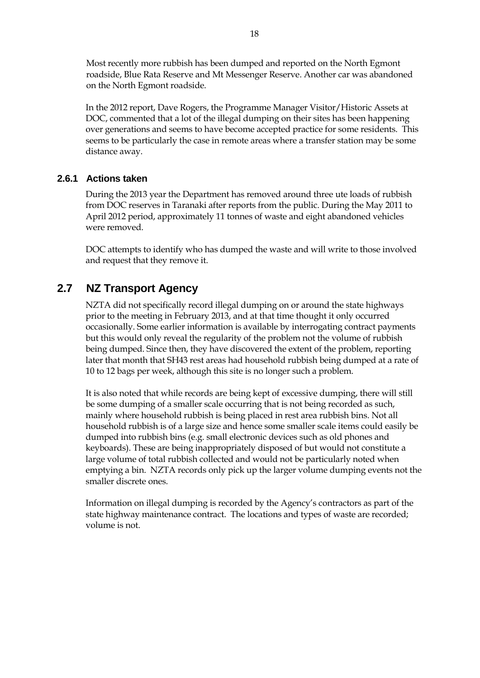Most recently more rubbish has been dumped and reported on the North Egmont roadside, Blue Rata Reserve and Mt Messenger Reserve. Another car was abandoned on the North Egmont roadside.

In the 2012 report, Dave Rogers, the Programme Manager Visitor/Historic Assets at DOC, commented that a lot of the illegal dumping on their sites has been happening over generations and seems to have become accepted practice for some residents. This seems to be particularly the case in remote areas where a transfer station may be some distance away.

### <span id="page-23-0"></span>**2.6.1 Actions taken**

During the 2013 year the Department has removed around three ute loads of rubbish from DOC reserves in Taranaki after reports from the public. During the May 2011 to April 2012 period, approximately 11 tonnes of waste and eight abandoned vehicles were removed.

DOC attempts to identify who has dumped the waste and will write to those involved and request that they remove it.

# <span id="page-23-1"></span>**2.7 NZ Transport Agency**

NZTA did not specifically record illegal dumping on or around the state highways prior to the meeting in February 2013, and at that time thought it only occurred occasionally. Some earlier information is available by interrogating contract payments but this would only reveal the regularity of the problem not the volume of rubbish being dumped. Since then, they have discovered the extent of the problem, reporting later that month that SH43 rest areas had household rubbish being dumped at a rate of 10 to 12 bags per week, although this site is no longer such a problem.

It is also noted that while records are being kept of excessive dumping, there will still be some dumping of a smaller scale occurring that is not being recorded as such, mainly where household rubbish is being placed in rest area rubbish bins. Not all household rubbish is of a large size and hence some smaller scale items could easily be dumped into rubbish bins (e.g. small electronic devices such as old phones and keyboards). These are being inappropriately disposed of but would not constitute a large volume of total rubbish collected and would not be particularly noted when emptying a bin. NZTA records only pick up the larger volume dumping events not the smaller discrete ones.

Information on illegal dumping is recorded by the Agency's contractors as part of the state highway maintenance contract. The locations and types of waste are recorded; volume is not.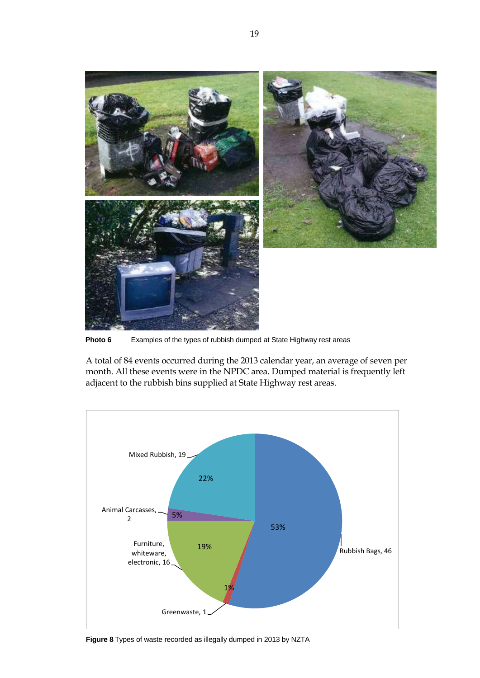

**Photo 6** Examples of the types of rubbish dumped at State Highway rest areas

A total of 84 events occurred during the 2013 calendar year, an average of seven per month. All these events were in the NPDC area. Dumped material is frequently left adjacent to the rubbish bins supplied at State Highway rest areas.



<span id="page-24-0"></span>**Figure 8** Types of waste recorded as illegally dumped in 2013 by NZTA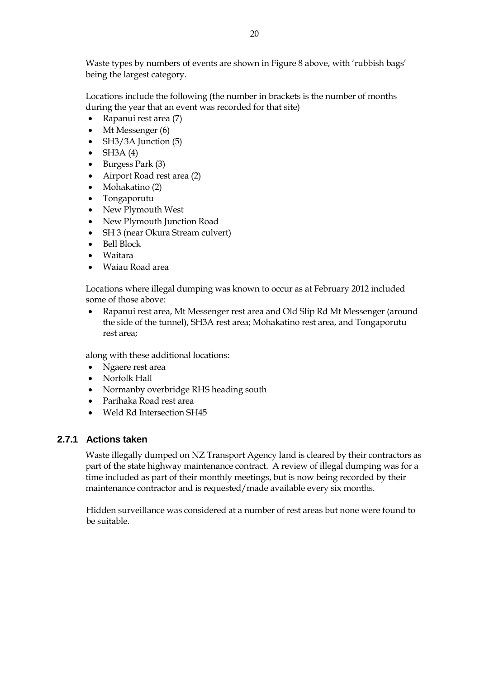Waste types by numbers of events are shown in [Figure 8](#page-24-0) above, with 'rubbish bags' being the largest category.

Locations include the following (the number in brackets is the number of months during the year that an event was recorded for that site)

- Rapanui rest area (7)
- Mt Messenger (6)
- $\bullet$  SH3/3A Junction (5)
- $\bullet$  SH3A (4)
- $\bullet$  Burgess Park (3)
- Airport Road rest area (2)
- Mohakatino (2)
- Tongaporutu
- New Plymouth West
- New Plymouth Junction Road
- SH 3 (near Okura Stream culvert)
- Bell Block
- Waitara
- Waiau Road area

Locations where illegal dumping was known to occur as at February 2012 included some of those above:

 Rapanui rest area, Mt Messenger rest area and Old Slip Rd Mt Messenger (around the side of the tunnel), SH3A rest area; Mohakatino rest area, and Tongaporutu rest area;

along with these additional locations:

- Ngaere rest area
- Norfolk Hall
- Normanby overbridge RHS heading south
- Parihaka Road rest area
- Weld Rd Intersection SH45

### <span id="page-25-0"></span>**2.7.1 Actions taken**

Waste illegally dumped on NZ Transport Agency land is cleared by their contractors as part of the state highway maintenance contract. A review of illegal dumping was for a time included as part of their monthly meetings, but is now being recorded by their maintenance contractor and is requested/made available every six months.

Hidden surveillance was considered at a number of rest areas but none were found to be suitable.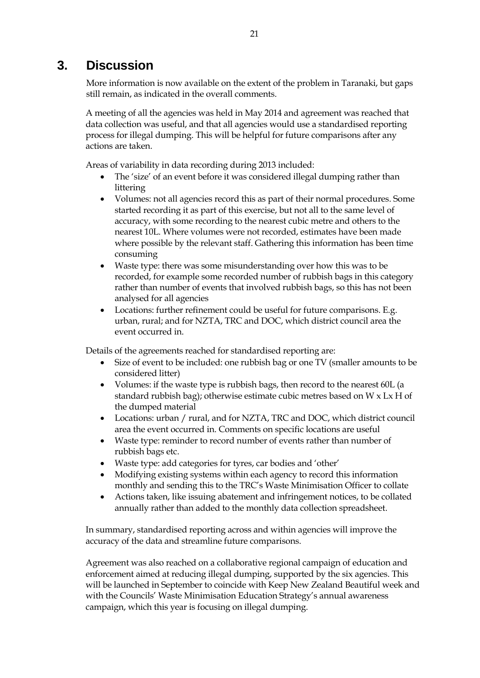# <span id="page-26-0"></span>**3. Discussion**

More information is now available on the extent of the problem in Taranaki, but gaps still remain, as indicated in the overall comments.

A meeting of all the agencies was held in May 2014 and agreement was reached that data collection was useful, and that all agencies would use a standardised reporting process for illegal dumping. This will be helpful for future comparisons after any actions are taken.

Areas of variability in data recording during 2013 included:

- The 'size' of an event before it was considered illegal dumping rather than littering
- Volumes: not all agencies record this as part of their normal procedures. Some started recording it as part of this exercise, but not all to the same level of accuracy, with some recording to the nearest cubic metre and others to the nearest 10L. Where volumes were not recorded, estimates have been made where possible by the relevant staff. Gathering this information has been time consuming
- Waste type: there was some misunderstanding over how this was to be recorded, for example some recorded number of rubbish bags in this category rather than number of events that involved rubbish bags, so this has not been analysed for all agencies
- Locations: further refinement could be useful for future comparisons. E.g. urban, rural; and for NZTA, TRC and DOC, which district council area the event occurred in.

Details of the agreements reached for standardised reporting are:

- Size of event to be included: one rubbish bag or one TV (smaller amounts to be considered litter)
- Volumes: if the waste type is rubbish bags, then record to the nearest 60L (a standard rubbish bag); otherwise estimate cubic metres based on W x Lx H of the dumped material
- Locations: urban / rural, and for NZTA, TRC and DOC, which district council area the event occurred in. Comments on specific locations are useful
- Waste type: reminder to record number of events rather than number of rubbish bags etc.
- Waste type: add categories for tyres, car bodies and 'other'
- Modifying existing systems within each agency to record this information monthly and sending this to the TRC's Waste Minimisation Officer to collate
- Actions taken, like issuing abatement and infringement notices, to be collated annually rather than added to the monthly data collection spreadsheet.

In summary, standardised reporting across and within agencies will improve the accuracy of the data and streamline future comparisons.

Agreement was also reached on a collaborative regional campaign of education and enforcement aimed at reducing illegal dumping, supported by the six agencies. This will be launched in September to coincide with Keep New Zealand Beautiful week and with the Councils' Waste Minimisation Education Strategy's annual awareness campaign, which this year is focusing on illegal dumping.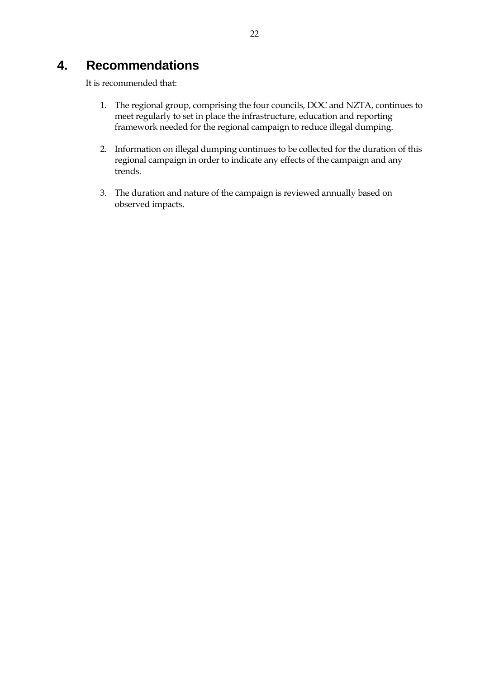# <span id="page-27-0"></span>**4. Recommendations**

It is recommended that:

- 1. The regional group, comprising the four councils, DOC and NZTA, continues to meet regularly to set in place the infrastructure, education and reporting framework needed for the regional campaign to reduce illegal dumping.
- 2. Information on illegal dumping continues to be collected for the duration of this regional campaign in order to indicate any effects of the campaign and any trends.
- 3. The duration and nature of the campaign is reviewed annually based on observed impacts.